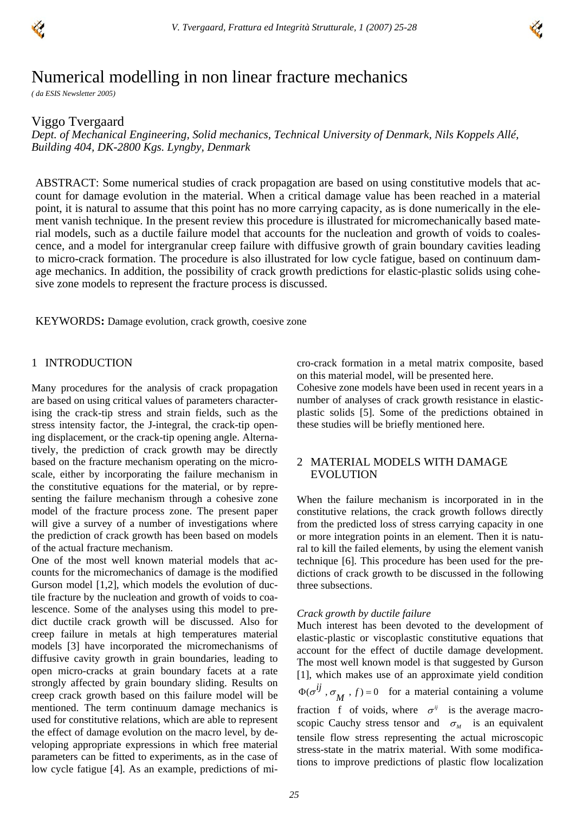



# Numerical modelling in non linear fracture mechanics

*( da ESIS Newsletter 2005)* 

## Viggo Tvergaard

*Dept. of Mechanical Engineering, Solid mechanics, Technical University of Denmark, Nils Koppels Allé, Building 404, DK-2800 Kgs. Lyngby, Denmark* 

ABSTRACT: Some numerical studies of crack propagation are based on using constitutive models that account for damage evolution in the material. When a critical damage value has been reached in a material point, it is natural to assume that this point has no more carrying capacity, as is done numerically in the element vanish technique. In the present review this procedure is illustrated for micromechanically based material models, such as a ductile failure model that accounts for the nucleation and growth of voids to coalescence, and a model for intergranular creep failure with diffusive growth of grain boundary cavities leading to micro-crack formation. The procedure is also illustrated for low cycle fatigue, based on continuum damage mechanics. In addition, the possibility of crack growth predictions for elastic-plastic solids using cohesive zone models to represent the fracture process is discussed.

KEYWORDS**:** Damage evolution, crack growth, coesive zone

## 1 INTRODUCTION

Many procedures for the analysis of crack propagation are based on using critical values of parameters characterising the crack-tip stress and strain fields, such as the stress intensity factor, the J-integral, the crack-tip opening displacement, or the crack-tip opening angle. Alternatively, the prediction of crack growth may be directly based on the fracture mechanism operating on the microscale, either by incorporating the failure mechanism in the constitutive equations for the material, or by representing the failure mechanism through a cohesive zone model of the fracture process zone. The present paper will give a survey of a number of investigations where the prediction of crack growth has been based on models of the actual fracture mechanism.

One of the most well known material models that accounts for the micromechanics of damage is the modified Gurson model [1,2], which models the evolution of ductile fracture by the nucleation and growth of voids to coalescence. Some of the analyses using this model to predict ductile crack growth will be discussed. Also for creep failure in metals at high temperatures material models [3] have incorporated the micromechanisms of diffusive cavity growth in grain boundaries, leading to open micro-cracks at grain boundary facets at a rate strongly affected by grain boundary sliding. Results on creep crack growth based on this failure model will be mentioned. The term continuum damage mechanics is used for constitutive relations, which are able to represent the effect of damage evolution on the macro level, by developing appropriate expressions in which free material parameters can be fitted to experiments, as in the case of low cycle fatigue [4]. As an example, predictions of micro-crack formation in a metal matrix composite, based on this material model, will be presented here.

Cohesive zone models have been used in recent years in a number of analyses of crack growth resistance in elasticplastic solids [5]. Some of the predictions obtained in these studies will be briefly mentioned here.

# 2 MATERIAL MODELS WITH DAMAGE EVOLUTION

When the failure mechanism is incorporated in in the constitutive relations, the crack growth follows directly from the predicted loss of stress carrying capacity in one or more integration points in an element. Then it is natural to kill the failed elements, by using the element vanish technique [6]. This procedure has been used for the predictions of crack growth to be discussed in the following three subsections.

### *Crack growth by ductile failure*

Much interest has been devoted to the development of elastic-plastic or viscoplastic constitutive equations that account for the effect of ductile damage development. The most well known model is that suggested by Gurson [1], which makes use of an approximate yield condition  $\Phi(\sigma^{ij}, \sigma_{M}, f) = 0$  for a material containing a volume fraction f of voids, where  $\sigma^{ij}$  is the average macroscopic Cauchy stress tensor and  $\sigma_M$  is an equivalent tensile flow stress representing the actual microscopic stress-state in the matrix material. With some modifications to improve predictions of plastic flow localization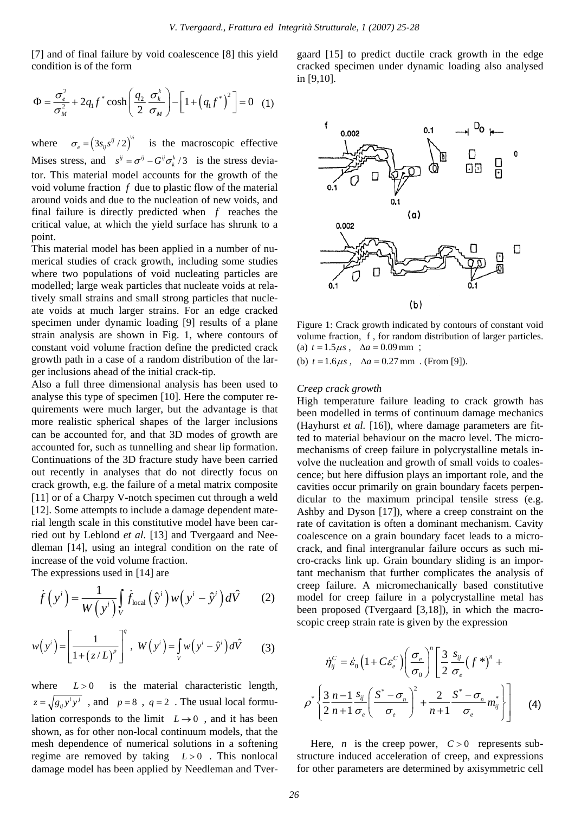[7] and of final failure by void coalescence [8] this yield condition is of the form

$$
\Phi = \frac{\sigma_e^2}{\sigma_M^2} + 2q_1 f^* \cosh\left(\frac{q_2}{2} \frac{\sigma_k^k}{\sigma_M}\right) - \left[1 + \left(q_1 f^*\right)^2\right] = 0 \quad (1)
$$

where  $\sigma_e = (3s_{ij}s^{ij}/2)^{1/2}$  is the macroscopic effective Mises stress, and  $s^{ij} = \sigma^{ij} - G^{ij} \sigma_k^k / 3$  is the stress deviator. This material model accounts for the growth of the void volume fraction *f* due to plastic flow of the material around voids and due to the nucleation of new voids, and final failure is directly predicted when *f* reaches the critical value, at which the yield surface has shrunk to a point.

This material model has been applied in a number of numerical studies of crack growth, including some studies where two populations of void nucleating particles are modelled; large weak particles that nucleate voids at relatively small strains and small strong particles that nucleate voids at much larger strains. For an edge cracked specimen under dynamic loading [9] results of a plane strain analysis are shown in Fig. 1, where contours of constant void volume fraction define the predicted crack growth path in a case of a random distribution of the larger inclusions ahead of the initial crack-tip.

Also a full three dimensional analysis has been used to analyse this type of specimen [10]. Here the computer requirements were much larger, but the advantage is that more realistic spherical shapes of the larger inclusions can be accounted for, and that 3D modes of growth are accounted for, such as tunnelling and shear lip formation. Continuations of the 3D fracture study have been carried out recently in analyses that do not directly focus on crack growth, e.g. the failure of a metal matrix composite [11] or of a Charpy V-notch specimen cut through a weld [12]. Some attempts to include a damage dependent material length scale in this constitutive model have been carried out by Leblond *et al*. [13] and Tvergaard and Needleman [14], using an integral condition on the rate of increase of the void volume fraction.

The expressions used in [14] are

$$
\dot{f}\left(y^{i}\right) = \frac{1}{W\left(y^{i}\right)}\int_{V}\dot{f}_{\text{local}}\left(\hat{y}^{i}\right)w\left(y^{i}-\hat{y}^{i}\right)d\hat{V} \qquad (2)
$$

$$
w(y^{i}) = \left[\frac{1}{1 + (z/L)^{p}}\right]^{q}, \ W(y^{i}) = \int_{V} w(y^{i} - \hat{y}^{i}) d\hat{V} \qquad (3)
$$

where  $L > 0$  is the material characteristic length,  $z = \sqrt{g_{ij} y^i y^j}$ , and  $p = 8$ ,  $q = 2$ . The usual local formulation corresponds to the limit  $L \rightarrow 0$ , and it has been shown, as for other non-local continuum models, that the mesh dependence of numerical solutions in a softening regime are removed by taking  $L > 0$ . This nonlocal damage model has been applied by Needleman and Tvergaard [15] to predict ductile crack growth in the edge cracked specimen under dynamic loading also analysed in [9,10].



Figure 1: Crack growth indicated by contours of constant void volume fraction, f , for random distribution of larger particles. (a)  $t = 1.5 \mu s$ ,  $\Delta a = 0.09$  mm;

(b)  $t = 1.6 \mu s$ ,  $\Delta a = 0.27$  mm. (From [9]).

#### *Creep crack growth*

High temperature failure leading to crack growth has been modelled in terms of continuum damage mechanics (Hayhurst *et al.* [16]), where damage parameters are fitted to material behaviour on the macro level. The micromechanisms of creep failure in polycrystalline metals involve the nucleation and growth of small voids to coalescence; but here diffusion plays an important role, and the cavities occur primarily on grain boundary facets perpendicular to the maximum principal tensile stress (e.g. Ashby and Dyson [17]), where a creep constraint on the rate of cavitation is often a dominant mechanism. Cavity coalescence on a grain boundary facet leads to a microcrack, and final intergranular failure occurs as such micro-cracks link up. Grain boundary sliding is an important mechanism that further complicates the analysis of creep failure. A micromechanically based constitutive model for creep failure in a polycrystalline metal has been proposed (Tvergaard [3,18]), in which the macroscopic creep strain rate is given by the expression

$$
\dot{\eta}_{ij}^C = \dot{\varepsilon}_0 \left( 1 + C \varepsilon_e^C \right) \left( \frac{\sigma_e}{\sigma_0} \right)^n \left[ \frac{3}{2} \frac{s_{ij}}{\sigma_e} \left( f^* \right)^n + \rho^* \left\{ \frac{3}{2} \frac{n-1}{n+1} \frac{s_{ij}}{\sigma_e} \left( \frac{S^* - \sigma_n}{\sigma_e} \right)^2 + \frac{2}{n+1} \frac{S^* - \sigma_n}{\sigma_e} m_{ij}^* \right\} \right]
$$
(4)

Here, *n* is the creep power,  $C > 0$  represents substructure induced acceleration of creep, and expressions for other parameters are determined by axisymmetric cell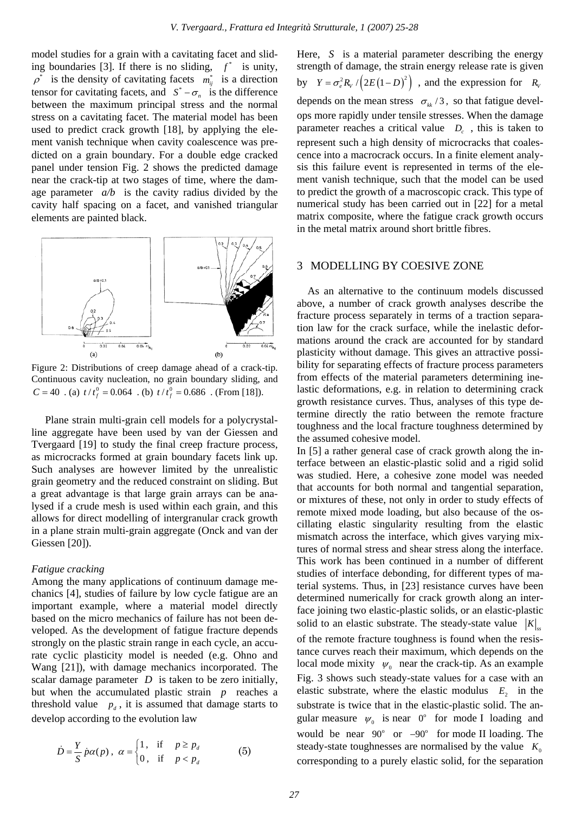model studies for a grain with a cavitating facet and sliding boundaries [3]. If there is no sliding,  $f^*$  is unity,  $\rho^*$  is the density of cavitating facets  $m_{ij}^*$  is a direction tensor for cavitating facets, and  $S^* - \sigma_n$  is the difference between the maximum principal stress and the normal stress on a cavitating facet. The material model has been used to predict crack growth [18], by applying the element vanish technique when cavity coalescence was predicted on a grain boundary. For a double edge cracked panel under tension Fig. 2 shows the predicted damage near the crack-tip at two stages of time, where the damage parameter  $a/b$  is the cavity radius divided by the cavity half spacing on a facet, and vanished triangular elements are painted black.



Figure 2: Distributions of creep damage ahead of a crack-tip. Continuous cavity nucleation, no grain boundary sliding, and  $C = 40$  . (a)  $t / t_f^0 = 0.064$  . (b)  $t / t_f^0 = 0.686$  . (From [18]).

 Plane strain multi-grain cell models for a polycrystalline aggregate have been used by van der Giessen and Tvergaard [19] to study the final creep fracture process, as microcracks formed at grain boundary facets link up. Such analyses are however limited by the unrealistic grain geometry and the reduced constraint on sliding. But a great advantage is that large grain arrays can be analysed if a crude mesh is used within each grain, and this allows for direct modelling of intergranular crack growth in a plane strain multi-grain aggregate (Onck and van der Giessen [20]).

#### *Fatigue cracking*

Among the many applications of continuum damage mechanics [4], studies of failure by low cycle fatigue are an important example, where a material model directly based on the micro mechanics of failure has not been developed. As the development of fatigue fracture depends strongly on the plastic strain range in each cycle, an accurate cyclic plasticity model is needed (e.g. Ohno and Wang [21]), with damage mechanics incorporated. The scalar damage parameter *D* is taken to be zero initially, but when the accumulated plastic strain *p* reaches a threshold value  $p_d$ , it is assumed that damage starts to develop according to the evolution law

$$
\dot{D} = \frac{Y}{S} \dot{p} \alpha(p) , \ \alpha = \begin{cases} 1, & \text{if } p \ge p_d \\ 0, & \text{if } p < p_d \end{cases} \tag{5}
$$

Here, *S* is a material parameter describing the energy strength of damage, the strain energy release rate is given by  $Y = \sigma_e^2 R_v / (2E(1-D)^2)$ , and the expression for  $R_v$ depends on the mean stress  $\sigma_{kk}$  /3, so that fatigue develops more rapidly under tensile stresses. When the damage parameter reaches a critical value  $D<sub>c</sub>$ , this is taken to represent such a high density of microcracks that coalescence into a macrocrack occurs. In a finite element analysis this failure event is represented in terms of the element vanish technique, such that the model can be used to predict the growth of a macroscopic crack. This type of numerical study has been carried out in [22] for a metal matrix composite, where the fatigue crack growth occurs in the metal matrix around short brittle fibres.

## 3 MODELLING BY COESIVE ZONE

 As an alternative to the continuum models discussed above, a number of crack growth analyses describe the fracture process separately in terms of a traction separation law for the crack surface, while the inelastic deformations around the crack are accounted for by standard plasticity without damage. This gives an attractive possibility for separating effects of fracture process parameters from effects of the material parameters determining inelastic deformations, e.g. in relation to determining crack growth resistance curves. Thus, analyses of this type determine directly the ratio between the remote fracture toughness and the local fracture toughness determined by the assumed cohesive model.

In [5] a rather general case of crack growth along the interface between an elastic-plastic solid and a rigid solid was studied. Here, a cohesive zone model was needed that accounts for both normal and tangential separation, or mixtures of these, not only in order to study effects of remote mixed mode loading, but also because of the oscillating elastic singularity resulting from the elastic mismatch across the interface, which gives varying mixtures of normal stress and shear stress along the interface. This work has been continued in a number of different studies of interface debonding, for different types of material systems. Thus, in [23] resistance curves have been determined numerically for crack growth along an interface joining two elastic-plastic solids, or an elastic-plastic solid to an elastic substrate. The steady-state value  $|K|$ of the remote fracture toughness is found when the resistance curves reach their maximum, which depends on the local mode mixity  $\psi_0$  near the crack-tip. As an example Fig. 3 shows such steady-state values for a case with an elastic substrate, where the elastic modulus  $E_2$  in the substrate is twice that in the elastic-plastic solid. The angular measure  $\psi_0$  is near  $0^\circ$  for mode I loading and would be near  $90^\circ$  or  $-90^\circ$  for mode II loading. The steady-state toughnesses are normalised by the value  $K_0$ corresponding to a purely elastic solid, for the separation